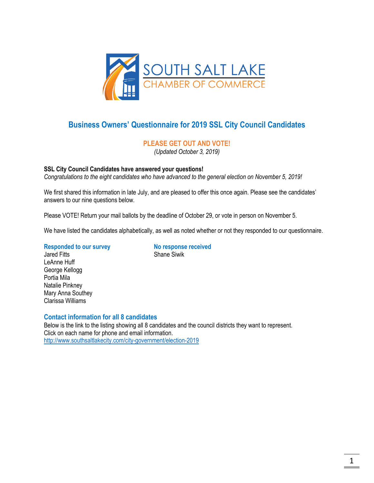

# **Business Owners' Questionnaire for 2019 SSL City Council Candidates**

# **PLEASE GET OUT AND VOTE!**

*(Updated October 3, 2019)*

## **SSL City Council Candidates have answered your questions!**

*Congratulations to the eight candidates who have advanced to the general election on November 5, 2019!*

We first shared this information in late July, and are pleased to offer this once again. Please see the candidates' answers to our nine questions below.

Please VOTE! Return your mail ballots by the deadline of October 29, or vote in person on November 5.

We have listed the candidates alphabetically, as well as noted whether or not they responded to our questionnaire.

#### **Responded to our survey No response received**

Jared Fitts **Shane Similar Shane Similar** LeAnne Huff George Kellogg Portia Mila Natalie Pinkney Mary Anna Southey Clarissa Williams

## **Contact information for all 8 candidates**

Below is the link to the listing showing all 8 candidates and the council districts they want to represent. Click on each name for phone and email information. <http://www.southsaltlakecity.com/city-government/election-2019>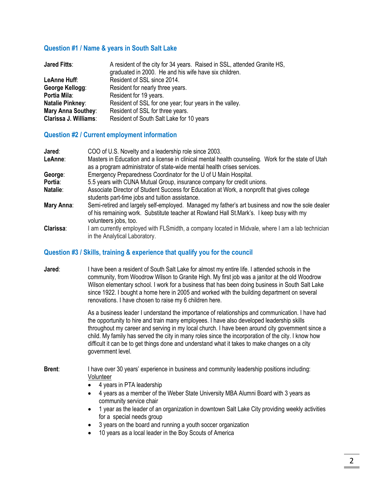# **Question #1 / Name & years in South Salt Lake**

| <b>Jared Fitts:</b>          | A resident of the city for 34 years. Raised in SSL, attended Granite HS,<br>graduated in 2000. He and his wife have six children. |
|------------------------------|-----------------------------------------------------------------------------------------------------------------------------------|
|                              |                                                                                                                                   |
| LeAnne Huff:                 | Resident of SSL since 2014.                                                                                                       |
| George Kellogg:              | Resident for nearly three years.                                                                                                  |
| Portia Mila:                 | Resident for 19 years.                                                                                                            |
| <b>Natalie Pinkney:</b>      | Resident of SSL for one year; four years in the valley.                                                                           |
| <b>Mary Anna Southey:</b>    | Resident of SSL for three years.                                                                                                  |
| <b>Clarissa J. Williams:</b> | Resident of South Salt Lake for 10 years                                                                                          |

## **Question #2 / Current employment information**

| Jared:     | COO of U.S. Novelty and a leadership role since 2003.                                                                                                                                                                 |
|------------|-----------------------------------------------------------------------------------------------------------------------------------------------------------------------------------------------------------------------|
| LeAnne:    | Masters in Education and a license in clinical mental health counseling. Work for the state of Utah<br>as a program administrator of state-wide mental health crises services.                                        |
| George:    | Emergency Preparedness Coordinator for the U of U Main Hospital.                                                                                                                                                      |
| Portia:    | 5.5 years with CUNA Mutual Group, insurance company for credit unions.                                                                                                                                                |
| Natalie:   | Associate Director of Student Success for Education at Work, a nonprofit that gives college<br>students part-time jobs and tuition assistance.                                                                        |
| Mary Anna: | Semi-retired and largely self-employed. Managed my father's art business and now the sole dealer<br>of his remaining work. Substitute teacher at Rowland Hall St.Mark's. I keep busy with my<br>volunteers jobs, too. |
| Clarissa:  | I am currently employed with FLSmidth, a company located in Midvale, where I am a lab technician<br>in the Analytical Laboratory.                                                                                     |

## **Question #3 / Skills, training & experience that qualify you for the council**

**Jared:** I have been a resident of South Salt Lake for almost my entire life. I attended schools in the community, from Woodrow Wilson to Granite High. My first job was a janitor at the old Woodrow Wilson elementary school. I work for a business that has been doing business in South Salt Lake since 1922. I bought a home here in 2005 and worked with the building department on several renovations. I have chosen to raise my 6 children here.

> As a business leader I understand the importance of relationships and communication. I have had the opportunity to hire and train many employees. I have also developed leadership skills throughout my career and serving in my local church. I have been around city government since a child. My family has served the city in many roles since the incorporation of the city. I know how difficult it can be to get things done and understand what it takes to make changes on a city government level.

#### **Brent:** I have over 30 years' experience in business and community leadership positions including: Volunteer

- 4 years in PTA leadership
- 4 years as a member of the Weber State University MBA Alumni Board with 3 years as community service chair
- 1 year as the leader of an organization in downtown Salt Lake City providing weekly activities for a special needs group
- 3 years on the board and running a youth soccer organization
- 10 years as a local leader in the Boy Scouts of America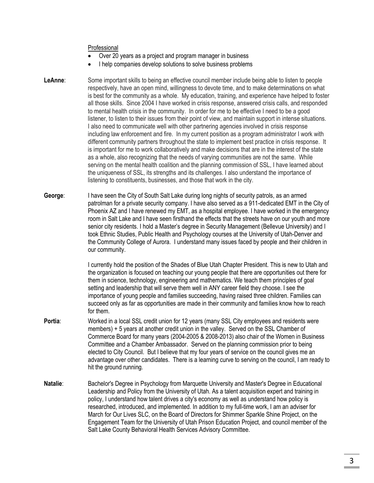#### Professional

- Over 20 years as a project and program manager in business
- I help companies develop solutions to solve business problems
- **LeAnne**: Some important skills to being an effective council member include being able to listen to people respectively, have an open mind, willingness to devote time, and to make determinations on what is best for the community as a whole. My education, training, and experience have helped to foster all those skills. Since 2004 I have worked in crisis response, answered crisis calls, and responded to mental health crisis in the community. In order for me to be effective I need to be a good listener, to listen to their issues from their point of view, and maintain support in intense situations. I also need to communicate well with other partnering agencies involved in crisis response including law enforcement and fire. In my current position as a program administrator I work with different community partners throughout the state to implement best practice in crisis response. It is important for me to work collaboratively and make decisions that are in the interest of the state as a whole, also recognizing that the needs of varying communities are not the same. While serving on the mental health coalition and the planning commission of SSL, I have learned about the uniqueness of SSL, its strengths and its challenges. I also understand the importance of listening to constituents, businesses, and those that work in the city.
- **George**: I have seen the City of South Salt Lake during long nights of security patrols, as an armed patrolman for a private security company. I have also served as a 911-dedicated EMT in the City of Phoenix AZ and I have renewed my EMT, as a hospital employee. I have worked in the emergency room in Salt Lake and I have seen firsthand the effects that the streets have on our youth and more senior city residents. I hold a Master's degree in Security Management (Bellevue University) and I took Ethnic Studies, Public Health and Psychology courses at the University of Utah-Denver and the Community College of Aurora. I understand many issues faced by people and their children in our community.

I currently hold the position of the Shades of Blue Utah Chapter President. This is new to Utah and the organization is focused on teaching our young people that there are opportunities out there for them in science, technology, engineering and mathematics. We teach them principles of goal setting and leadership that will serve them well in ANY career field they choose. I see the importance of young people and families succeeding, having raised three children. Families can succeed only as far as opportunities are made in their community and families know how to reach for them.

- **Portia:** Worked in a local SSL credit union for 12 years (many SSL City employees and residents were members) + 5 years at another credit union in the valley. Served on the SSL Chamber of Commerce Board for many years (2004-2005 & 2008-2013) also chair of the Women in Business Committee and a Chamber Ambassador. Served on the planning commission prior to being elected to City Council. But I believe that my four years of service on the council gives me an advantage over other candidates. There is a learning curve to serving on the council, I am ready to hit the ground running.
- **Natalie:** Bachelor's Degree in Psychology from Marquette University and Master's Degree in Educational Leadership and Policy from the University of Utah. As a talent acquisition expert and training in policy, I understand how talent drives a city's economy as well as understand how policy is researched, introduced, and implemented. In addition to my full-time work, I am an adviser for March for Our Lives SLC, on the Board of Directors for Shimmer Sparkle Shine Project, on the Engagement Team for the University of Utah Prison Education Project, and council member of the Salt Lake County Behavioral Health Services Advisory Committee.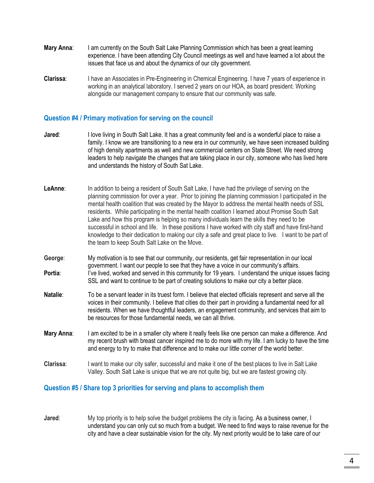- **Mary Anna:** I am currently on the South Salt Lake Planning Commission which has been a great learning experience. I have been attending City Council meetings as well and have learned a lot about the issues that face us and about the dynamics of our city government.
- **Clarissa**: I have an Associates in Pre-Engineering in Chemical Engineering. I have 7 years of experience in working in an analytical laboratory. I served 2 years on our HOA, as board president. Working alongside our management company to ensure that our community was safe.

# **Question #4 / Primary motivation for serving on the council**

- **Jared**: I love living in South Salt Lake. It has a great community feel and is a wonderful place to raise a family. I know we are transitioning to a new era in our community, we have seen increased building of high density apartments as well and new commercial centers on State Street. We need strong leaders to help navigate the changes that are taking place in our city, someone who has lived here and understands the history of South Sat Lake.
- **LeAnne**: In addition to being a resident of South Salt Lake, I have had the privilege of serving on the planning commission for over a year. Prior to joining the planning commission I participated in the mental health coalition that was created by the Mayor to address the mental health needs of SSL residents. While participating in the mental health coalition I learned about Promise South Salt Lake and how this program is helping so many individuals learn the skills they need to be successful in school and life. In these positions I have worked with city staff and have first-hand knowledge to their dedication to making our city a safe and great place to live. I want to be part of the team to keep South Salt Lake on the Move.
- **George**: My motivation is to see that our community, our residents, get fair representation in our local government. I want our people to see that they have a voice in our community's affairs. **Portia:** I've lived, worked and served in this community for 19 years. I understand the unique issues facing SSL and want to continue to be part of creating solutions to make our city a better place.
- **Natalie**: To be a servant leader in its truest form. I believe that elected officials represent and serve all the voices in their community. I believe that cities do their part in providing a fundamental need for all residents. When we have thoughtful leaders, an engagement community, and services that aim to be resources for those fundamental needs, we can all thrive.
- **Mary Anna**: I am excited to be in a smaller city where it really feels like one person can make a difference. And my recent brush with breast cancer inspired me to do more with my life. I am lucky to have the time and energy to try to make that difference and to make our little corner of the world better.
- **Clarissa**: I want to make our city safer, successful and make it one of the best places to live in Salt Lake Valley. South Salt Lake is unique that we are not quite big, but we are fastest growing city.

#### **Question #5 / Share top 3 priorities for serving and plans to accomplish them**

**Jared**: My top priority is to help solve the budget problems the city is facing. As a business owner, I understand you can only cut so much from a budget. We need to find ways to raise revenue for the city and have a clear sustainable vision for the city. My next priority would be to take care of our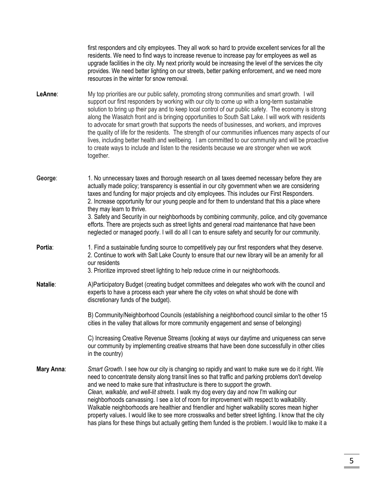first responders and city employees. They all work so hard to provide excellent services for all the residents. We need to find ways to increase revenue to increase pay for employees as well as upgrade facilities in the city. My next priority would be increasing the level of the services the city provides. We need better lighting on our streets, better parking enforcement, and we need more resources in the winter for snow removal.

- **LeAnne**: My top priorities are our public safety, promoting strong communities and smart growth. I will support our first responders by working with our city to come up with a long-term sustainable solution to bring up their pay and to keep local control of our public safety. The economy is strong along the Wasatch front and is bringing opportunities to South Salt Lake. I will work with residents to advocate for smart growth that supports the needs of businesses, and workers, and improves the quality of life for the residents. The strength of our communities influences many aspects of our lives, including better health and wellbeing. I am committed to our community and will be proactive to create ways to include and listen to the residents because we are stronger when we work together.
- **George**: 1. No unnecessary taxes and thorough research on all taxes deemed necessary before they are actually made policy; transparency is essential in our city government when we are considering taxes and funding for major projects and city employees. This includes our First Responders. 2. Increase opportunity for our young people and for them to understand that this a place where they may learn to thrive.

3. Safety and Security in our neighborhoods by combining community, police, and city governance efforts. There are projects such as street lights and general road maintenance that have been neglected or managed poorly. I will do all I can to ensure safety and security for our community.

**Portia:** 1. Find a sustainable funding source to competitively pay our first responders what they deserve. 2. Continue to work with Salt Lake County to ensure that our new library will be an amenity for all our residents

#### 3. Prioritize improved street lighting to help reduce crime in our neighborhoods.

**Natalie**: A)Participatory Budget (creating budget committees and delegates who work with the council and experts to have a process each year where the city votes on what should be done with discretionary funds of the budget).

> B) Community/Neighborhood Councils (establishing a neighborhood council similar to the other 15 cities in the valley that allows for more community engagement and sense of belonging)

> C) Increasing Creative Revenue Streams (looking at ways our daytime and uniqueness can serve our community by implementing creative streams that have been done successfully in other cities in the country)

**Mary Anna**: *Smart Growth*. I see how our city is changing so rapidly and want to make sure we do it right. We need to concentrate density along transit lines so that traffic and parking problems don't develop and we need to make sure that infrastructure is there to support the growth. *Clean, walkable, and well-lit streets*. I walk my dog every day and now I'm walking our neighborhoods canvassing. I see a lot of room for improvement with respect to walkability. Walkable neighborhoods are healthier and friendlier and higher walkability scores mean higher property values. I would like to see more crosswalks and better street lighting. I know that the city has plans for these things but actually getting them funded is the problem. I would like to make it a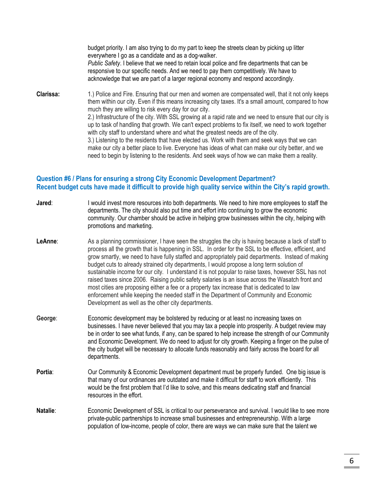budget priority. I am also trying to do my part to keep the streets clean by picking up litter everywhere I go as a candidate and as a dog-walker. *Public Safety*. I believe that we need to retain local police and fire departments that can be responsive to our specific needs. And we need to pay them competitively. We have to acknowledge that we are part of a larger regional economy and respond accordingly. **Clarissa:** 1.) Police and Fire. Ensuring that our men and women are compensated well, that it not only keeps them within our city. Even if this means increasing city taxes. It's a small amount, compared to how much they are willing to risk every day for our city. 2.) Infrastructure of the city. With SSL growing at a rapid rate and we need to ensure that our city is up to task of handling that growth. We can't expect problems to fix itself, we need to work together with city staff to understand where and what the greatest needs are of the city. 3.) Listening to the residents that have elected us. Work with them and seek ways that we can make our city a better place to live. Everyone has ideas of what can make our city better, and we need to begin by listening to the residents. And seek ways of how we can make them a reality.

# **Question #6 / Plans for ensuring a strong City Economic Development Department? Recent budget cuts have made it difficult to provide high quality service within the City's rapid growth.**

| Jared:   | I would invest more resources into both departments. We need to hire more employees to staff the<br>departments. The city should also put time and effort into continuing to grow the economic<br>community. Our chamber should be active in helping grow businesses within the city, helping with<br>promotions and marketing.                                                                                                                                                                                                                                                                                                                                                                                                                                                                                                                                         |
|----------|-------------------------------------------------------------------------------------------------------------------------------------------------------------------------------------------------------------------------------------------------------------------------------------------------------------------------------------------------------------------------------------------------------------------------------------------------------------------------------------------------------------------------------------------------------------------------------------------------------------------------------------------------------------------------------------------------------------------------------------------------------------------------------------------------------------------------------------------------------------------------|
| LeAnne:  | As a planning commissioner, I have seen the struggles the city is having because a lack of staff to<br>process all the growth that is happening in SSL. In order for the SSL to be effective, efficient, and<br>grow smartly, we need to have fully staffed and appropriately paid departments. Instead of making<br>budget cuts to already strained city departments, I would propose a long term solution of<br>sustainable income for our city. I understand it is not popular to raise taxes, however SSL has not<br>raised taxes since 2006. Raising public safety salaries is an issue across the Wasatch front and<br>most cities are proposing either a fee or a property tax increase that is dedicated to law<br>enforcement while keeping the needed staff in the Department of Community and Economic<br>Development as well as the other city departments. |
| George:  | Economic development may be bolstered by reducing or at least no increasing taxes on<br>businesses. I have never believed that you may tax a people into prosperity. A budget review may<br>be in order to see what funds, if any, can be spared to help increase the strength of our Community<br>and Economic Development. We do need to adjust for city growth. Keeping a finger on the pulse of<br>the city budget will be necessary to allocate funds reasonably and fairly across the board for all<br>departments.                                                                                                                                                                                                                                                                                                                                               |
| Portia:  | Our Community & Economic Development department must be properly funded. One big issue is<br>that many of our ordinances are outdated and make it difficult for staff to work efficiently. This<br>would be the first problem that I'd like to solve, and this means dedicating staff and financial<br>resources in the effort.                                                                                                                                                                                                                                                                                                                                                                                                                                                                                                                                         |
| Natalie: | Economic Development of SSL is critical to our perseverance and survival. I would like to see more<br>private-public partnerships to increase small businesses and entrepreneurship. With a large<br>population of low-income, people of color, there are ways we can make sure that the talent we                                                                                                                                                                                                                                                                                                                                                                                                                                                                                                                                                                      |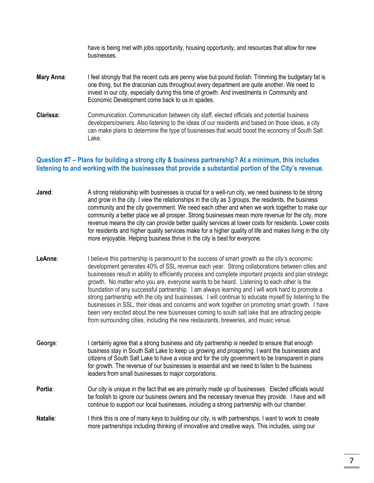have is being met with jobs opportunity, housing opportunity, and resources that allow for new businesses. **Mary Anna:** I feel strongly that the recent cuts are penny wise but pound foolish. Trimming the budgetary fat is one thing, but the draconian cuts throughout every department are quite another. We need to invest in our city, especially during this time of growth. And investments in Community and Economic Development come back to us in spades. **Clarissa:** Communication. Communication between city staff, elected officials and potential business developers/owners. Also listening to the ideas of our residents and based on those ideas, a city can make plans to determine the type of businesses that would boost the economy of South Salt Lake.

# **Question #7 – Plans for building a strong city & business partnership? At a minimum, this includes listening to and working with the businesses that provide a substantial portion of the City's revenue.**

| Jared:   | A strong relationship with businesses is crucial for a well-run city, we need business to be strong<br>and grow in the city. I view the relationships in the city as 3 groups, the residents, the business<br>community and the city government. We need each other and when we work together to make our<br>community a better place we all prosper. Strong businesses mean more revenue for the city, more<br>revenue means the city can provide better quality services at lower costs for residents. Lower costs<br>for residents and higher quality services make for a higher quality of life and makes living in the city<br>more enjoyable. Helping business thrive in the city is best for everyone.                                                                                                                                                                                                   |
|----------|-----------------------------------------------------------------------------------------------------------------------------------------------------------------------------------------------------------------------------------------------------------------------------------------------------------------------------------------------------------------------------------------------------------------------------------------------------------------------------------------------------------------------------------------------------------------------------------------------------------------------------------------------------------------------------------------------------------------------------------------------------------------------------------------------------------------------------------------------------------------------------------------------------------------|
| LeAnne:  | I believe this partnership is paramount to the success of smart growth as the city's economic<br>development generates 40% of SSL revenue each year. Strong collaborations between cities and<br>businesses result in ability to efficiently process and complete important projects and plan strategic<br>growth. No matter who you are, everyone wants to be heard. Listening to each other is the<br>foundation of any successful partnership. I am always learning and I will work hard to promote a<br>strong partnership with the city and businesses. I will continue to educate myself by listening to the<br>businesses in SSL, their ideas and concerns and work together on promoting smart growth. I have<br>been very excited about the new businesses coming to south salt lake that are attracting people<br>from surrounding cities, including the new restaurants, breweries, and music venue. |
| George:  | I certainly agree that a strong business and city partnership is needed to ensure that enough<br>business stay in South Salt Lake to keep us growing and prospering. I want the businesses and<br>citizens of South Salt Lake to have a voice and for the city government to be transparent in plans<br>for growth. The revenue of our businesses is essential and we need to listen to the business<br>leaders from small businesses to major corporations.                                                                                                                                                                                                                                                                                                                                                                                                                                                    |
| Portia:  | Our city is unique in the fact that we are primarily made up of businesses. Elected officials would<br>be foolish to ignore our business owners and the necessary revenue they provide. I have and will<br>continue to support our local businesses, including a strong partnership with our chamber.                                                                                                                                                                                                                                                                                                                                                                                                                                                                                                                                                                                                           |
| Natalie: | I think this is one of many keys to building our city, is with partnerships. I want to work to create<br>more partnerships including thinking of innovative and creative ways. This includes, using our                                                                                                                                                                                                                                                                                                                                                                                                                                                                                                                                                                                                                                                                                                         |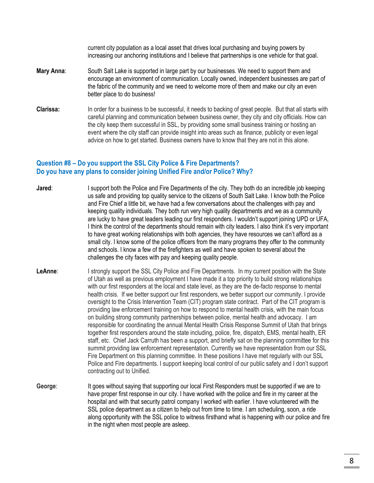current city population as a local asset that drives local purchasing and buying powers by increasing our anchoring institutions and I believe that partnerships is one vehicle for that goal.

- **Mary Anna**: South Salt Lake is supported in large part by our businesses. We need to support them and encourage an environment of communication. Locally owned, independent businesses are part of the fabric of the community and we need to welcome more of them and make our city an even better place to do business!
- **Clarissa:** In order for a business to be successful, it needs to backing of great people. But that all starts with careful planning and communication between business owner, they city and city officials. How can the city keep them successful in SSL, by providing some small business training or hosting an event where the city staff can provide insight into areas such as finance, publicity or even legal advice on how to get started. Business owners have to know that they are not in this alone.

# **Question #8 – Do you support the SSL City Police & Fire Departments? Do you have any plans to consider joining Unified Fire and/or Police? Why?**

- **Jared:** I support both the Police and Fire Departments of the city. They both do an incredible job keeping us safe and providing top quality service to the citizens of South Salt Lake. I know both the Police and Fire Chief a little bit, we have had a few conversations about the challenges with pay and keeping quality individuals. They both run very high quality departments and we as a community are lucky to have great leaders leading our first responders. I wouldn't support joining UPD or UFA, I think the control of the departments should remain with city leaders. I also think it's very important to have great working relationships with both agencies, they have resources we can't afford as a small city. I know some of the police officers from the many programs they offer to the community and schools. I know a few of the firefighters as well and have spoken to several about the challenges the city faces with pay and keeping quality people.
- LeAnne: I strongly support the SSL City Police and Fire Departments. In my current position with the State of Utah as well as previous employment I have made it a top priority to build strong relationships with our first responders at the local and state level, as they are the de-facto response to mental health crisis. If we better support our first responders, we better support our community. I provide oversight to the Crisis Intervention Team (CIT) program state contract. Part of the CIT program is providing law enforcement training on how to respond to mental health crisis, with the main focus on building strong community partnerships between police, mental health and advocacy. I am responsible for coordinating the annual Mental Health Crisis Response Summit of Utah that brings together first responders around the state including, police, fire, dispatch, EMS, mental health, ER staff, etc. Chief Jack Carruth has been a support, and briefly sat on the planning committee for this summit providing law enforcement representation. Currently we have representation from our SSL Fire Department on this planning committee. In these positions I have met regularly with our SSL Police and Fire departments. I support keeping local control of our public safety and I don't support contracting out to Unified.
- George: It goes without saying that supporting our local First Responders must be supported if we are to have proper first response in our city. I have worked with the police and fire in my career at the hospital and with that security patrol company I worked with earlier. I have volunteered with the SSL police department as a citizen to help out from time to time. I am scheduling, soon, a ride along opportunity with the SSL police to witness firsthand what is happening with our police and fire in the night when most people are asleep.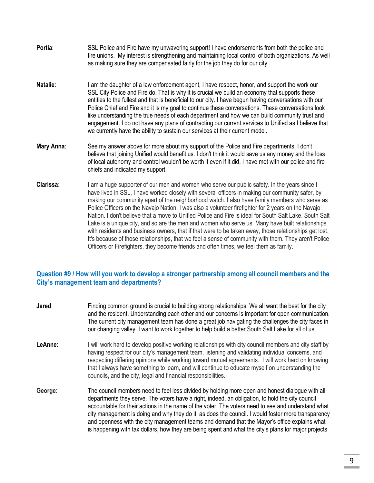- **Portia:** SSL Police and Fire have my unwavering support! I have endorsements from both the police and fire unions. My interest is strengthening and maintaining local control of both organizations. As well as making sure they are compensated fairly for the job they do for our city.
- **Natalie**: I am the daughter of a law enforcement agent, I have respect, honor, and support the work our SSL City Police and Fire do. That is why it is crucial we build an economy that supports these entities to the fullest and that is beneficial to our city. I have begun having conversations with our Police Chief and Fire and it is my goal to continue these conversations. These conversations look like understanding the true needs of each department and how we can build community trust and engagement. I do not have any plans of contracting our current services to Unified as I believe that we currently have the ability to sustain our services at their current model.
- **Mary Anna**: See my answer above for more about my support of the Police and Fire departments. I don't believe that joining Unified would benefit us. I don't think it would save us any money and the loss of local autonomy and control wouldn't be worth it even if it did. I have met with our police and fire chiefs and indicated my support.
- **Clarissa:** I am a huge supporter of our men and women who serve our public safety. In the years since I have lived in SSL, I have worked closely with several officers in making our community safer, by making our community apart of the neighborhood watch. I also have family members who serve as Police Officers on the Navajo Nation. I was also a volunteer firefighter for 2 years on the Navajo Nation. I don't believe that a move to Unified Police and Fire is ideal for South Salt Lake. South Salt Lake is a unique city, and so are the men and women who serve us. Many have built relationships with residents and business owners, that if that were to be taken away, those relationships get lost. It's because of those relationships, that we feel a sense of community with them. They aren't Police Officers or Firefighters, they become friends and often times, we feel them as family.

# **Question #9 / How will you work to develop a stronger partnership among all council members and the City's management team and departments?**

| Jared:  | Finding common ground is crucial to building strong relationships. We all want the best for the city<br>and the resident. Understanding each other and our concerns is important for open communication.<br>The current city management team has done a great job navigating the challenges the city faces in<br>our changing valley. I want to work together to help build a better South Salt Lake for all of us.                                                                                                                                                                                                     |
|---------|-------------------------------------------------------------------------------------------------------------------------------------------------------------------------------------------------------------------------------------------------------------------------------------------------------------------------------------------------------------------------------------------------------------------------------------------------------------------------------------------------------------------------------------------------------------------------------------------------------------------------|
| LeAnne: | I will work hard to develop positive working relationships with city council members and city staff by<br>having respect for our city's management team, listening and validating individual concerns, and<br>respecting differing opinions while working toward mutual agreements. I will work hard on knowing<br>that I always have something to learn, and will continue to educate myself on understanding the<br>councils, and the city, legal and financial responsibilities.                                                                                                                                     |
| George: | The council members need to feel less divided by holding more open and honest dialogue with all<br>departments they serve. The voters have a right, indeed, an obligation, to hold the city council<br>accountable for their actions in the name of the voter. The voters need to see and understand what<br>city management is doing and why they do it; as does the council. I would foster more transparency<br>and openness with the city management teams and demand that the Mayor's office explains what<br>is happening with tax dollars, how they are being spent and what the city's plans for major projects |